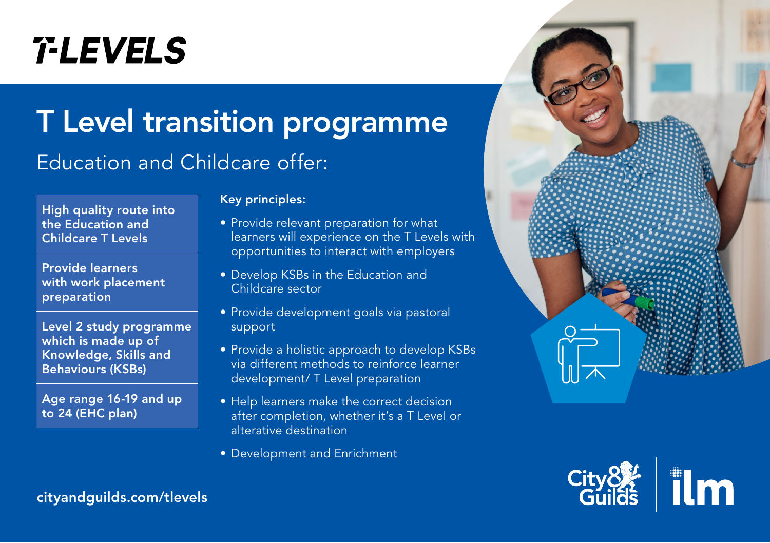# **T-LEVELS**

## T Level transition programme

## Education and Childcare offer:

High quality route into the Education and Childcare T Levels

Provide learners with work placement preparation

Level 2 study programme which is made up of Knowledge, Skills and Behaviours (KSBs)

Age range 16-19 and up to 24 (EHC plan)

#### Key principles:

- Provide relevant preparation for what learners will experience on the T Levels with opportunities to interact with employers
- Develop KSBs in the Education and Childcare sector
- Provide development goals via pastoral support
- Provide a holistic approach to develop KSBs via different methods to reinforce learner development/ T Level preparation
- Help learners make the correct decision after completion, whether it's a T Level or alterative destination
- Development and Enrichment





[cityandguilds.com/tlevels](https://www.cityandguilds.com/tlevels)